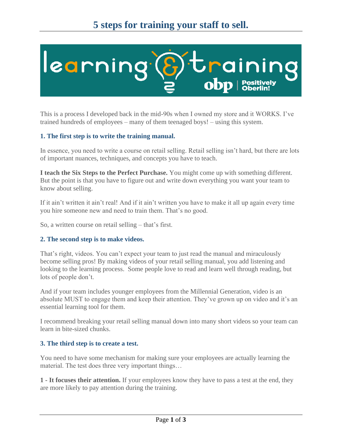

This is a process I developed back in the mid-90s when I owned my store and it WORKS. I've trained hundreds of employees – many of them teenaged boys! – using this system.

# **1. The first step is to write the training manual.**

In essence, you need to write a course on retail selling. Retail selling isn't hard, but there are lots of important nuances, techniques, and concepts you have to teach.

**I teach the Six Steps to the Perfect Purchase.** You might come up with something different. But the point is that you have to figure out and write down everything you want your team to know about selling.

If it ain't written it ain't real! And if it ain't written you have to make it all up again every time you hire someone new and need to train them. That's no good.

So, a written course on retail selling – that's first.

### **2. The second step is to make videos.**

That's right, videos. You can't expect your team to just read the manual and miraculously become selling pros! By making videos of your retail selling manual, you add listening and looking to the learning process. Some people love to read and learn well through reading, but lots of people don't.

And if your team includes younger employees from the Millennial Generation, video is an absolute MUST to engage them and keep their attention. They've grown up on video and it's an essential learning tool for them.

I recommend breaking your retail selling manual down into many short videos so your team can learn in bite-sized chunks.

### **3. The third step is to create a test.**

You need to have some mechanism for making sure your employees are actually learning the material. The test does three very important things…

**1 - It focuses their attention.** If your employees know they have to pass a test at the end, they are more likely to pay attention during the training.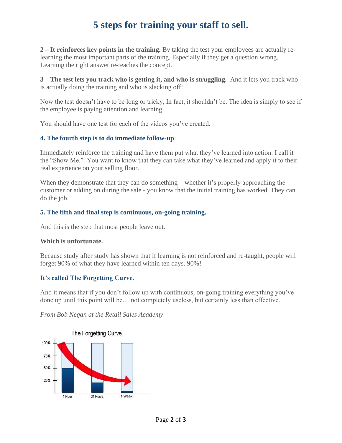**2 – It reinforces key points in the training.** By taking the test your employees are actually relearning the most important parts of the training. Especially if they get a question wrong. Learning the right answer re-teaches the concept.

**3 – The test lets you track who is getting it, and who is struggling.** And it lets you track who is actually doing the training and who is slacking off!

Now the test doesn't have to be long or tricky, In fact, it shouldn't be. The idea is simply to see if the employee is paying attention and learning.

You should have one test for each of the videos you've created.

## **4. The fourth step is to do immediate follow-up**

Immediately reinforce the training and have them put what they've learned into action. I call it the "Show Me." You want to know that they can take what they've learned and apply it to their real experience on your selling floor.

When they demonstrate that they can do something – whether it's properly approaching the customer or adding on during the sale - you know that the initial training has worked. They can do the job.

# **5. The fifth and final step is continuous, on-going training.**

And this is the step that most people leave out.

### **Which is unfortunate.**

Because study after study has shown that if learning is not reinforced and re-taught, people will forget 90% of what they have learned within ten days. 90%!

# **It's called The Forgetting Curve.**

And it means that if you don't follow up with continuous, on-going training everything you've done up until this point will be… not completely useless, but certainly less than effective.

*From Bob Negan at the Retail Sales Academy*